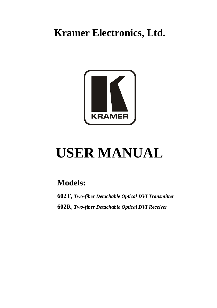**Kramer Electronics, Ltd.**



# **USER MANUAL**

# **Models:**

**602T,** *Two-fiber Detachable Optical DVI Transmitter* **602R,** *Two-fiber Detachable Optical DVI Receiver*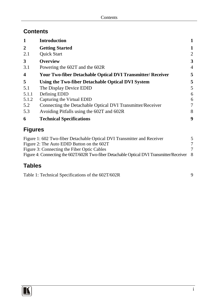## **Contents**

| 1                       | <b>Introduction</b>                                                |                |
|-------------------------|--------------------------------------------------------------------|----------------|
| $\overline{2}$          | <b>Getting Started</b>                                             | 1              |
| 2.1                     | <b>Ouick Start</b>                                                 | 2              |
| 3                       | <b>Overview</b>                                                    | 3              |
| 3.1                     | Powering the 602T and the 602R                                     | $\overline{4}$ |
| $\overline{\mathbf{4}}$ | <b>Your Two-fiber Detachable Optical DVI Transmitter/ Receiver</b> | 5              |
| 5                       | Using the Two-fiber Detachable Optical DVI System                  | 5              |
| 5.1                     | The Display Device EDID                                            | 5              |
| 5.1.1                   | Defining EDID                                                      | 6              |
| 5.1.2                   | Capturing the Virtual EDID                                         | 6              |
| 5.2                     | Connecting the Detachable Optical DVI Transmitter/Receiver         | 7              |
| 5.3                     | Avoiding Pitfalls using the 602T and 602R                          | 8              |
| 6                       | <b>Technical Specifications</b>                                    | 9              |

# **Figures**

| Figure 1: 602 Two-fiber Detachable Optical DVI Transmitter and Receiver                    |  |
|--------------------------------------------------------------------------------------------|--|
| Figure 2: The Auto EDID Button on the 602T                                                 |  |
| Figure 3: Connecting the Fiber Optic Cables                                                |  |
| Figure 4: Connecting the 602T/602R Two-fiber Detachable Optical DVI Transmitter/Receiver 8 |  |

## **Tables**

[Table 1: Technical Specifications of the 602T/602R](#page-10-1) 9

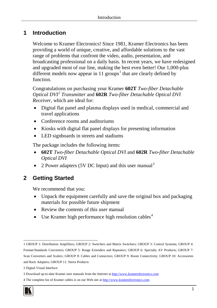## <span id="page-2-0"></span>**1 Introduction**

Welcome to Kramer Electronics! Since 1981, Kramer Electronics has been providing a world of unique, creative, and affordable solutions to the vast range of problems that confront the video, audio, presentation, and broadcasting professional on a daily basis. In recent years, we have redesigned and upgraded most of our line, making the best even better! Our 1,000-plus different models now appear in [1](#page-2-2)1 groups<sup>1</sup> that are clearly defined by function.

Congratulations on purchasing your Kramer **602T** *Two-fiber Detachable Optical DVI [2](#page-2-3) Transmitter* and **602R** *Two-fiber Detachable Optical DVI Receiver*, which are ideal for:

- Digital flat panel and plasma displays used in medical, commercial and travel applications
- Conference rooms and auditoriums
- Kiosks with digital flat panel displays for presenting information
- LED signboards in streets and stadiums

The package includes the following items:

- **602T** *Two-fiber Detachable Optical DVI* and **602R** *Two-fiber Detachable Optical DVI*
- 2 Power adapters (5V DC Input) and this user manual<sup>[3](#page-2-4)</sup>

## <span id="page-2-1"></span>**2 Getting Started**

We recommend that you:

- Unpack the equipment carefully and save the original box and packaging materials for possible future shipment
- Review the contents of this user manual
- Use Kramer high performance high resolution cables<sup>[4](#page-2-5)</sup>

<span id="page-2-5"></span><span id="page-2-4"></span><sup>4</sup> The complete list of Kramer cables is on our Web site a[t http://www.kramerelectronics.com](http://www.kramerelectronics.com/)



<span id="page-2-2"></span><sup>1</sup> GROUP 1: Distribution Amplifiers; GROUP 2: Switchers and Matrix Switchers; GROUP 3: Control Systems; GROUP 4: Format/Standards Converters; GROUP 5: Range Extenders and Repeaters; GROUP 6: Specialty AV Products; GROUP 7: Scan Converters and Scalers; GROUP 8: Cables and Connectors; GROUP 9: Room Connectivity; GROUP 10: Accessories and Rack Adapters; GROUP 11: Sierra Products

<span id="page-2-3"></span><sup>2</sup> Digital Visual Interface

<sup>3</sup> Download up-to-date Kramer user manuals from the Internet at [http://www.kramerelectronics.com](http://www.kramerelectronics.com/)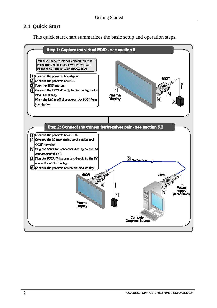#### <span id="page-3-0"></span>**2.1 Quick Start**

This quick start chart summarizes the basic setup and operation steps.

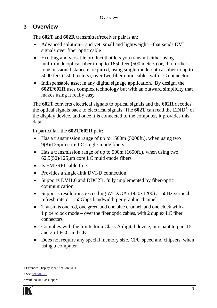## <span id="page-4-0"></span>**3 Overview**

The **602T** and **602R** transmitter/receiver pair is an:

- Advanced solution—and yet, small and lightweight—that sends DVI signals over fiber optic cable
- Exciting and versatile product that lets you transmit either using multi-mode optical fiber to up to 1650 feet (500 meters) or, if a further transmission distance is required, using single-mode optical fiber to up to 5000 feet (1500 meters), over two fiber optic cables with LC connectors
- Indispensable asset in any digital signage application. By design, the **602T**/**602R** uses complex technology but with an outward simplicity that makes using it really easy

The **602T** converts electrical signals to optical signals and the **602R** decodes the optical signals back to electrical signals. The  $602T$  can read the  $EDID<sup>1</sup>$  $EDID<sup>1</sup>$  $EDID<sup>1</sup>$ , of the display device, and once it is connected to the computer, it provides this  $data<sup>2</sup>$  $data<sup>2</sup>$  $data<sup>2</sup>$ .

In particular, the **602T**/**602R** pair:

- Has a transmission range of up to 1500m (5000ft.), when using two 9(8)/125µm core LC single-mode fibers
- Has a transmission range of up to 500m (1650ft.), when using two 62.5(50)/125µm core LC multi-mode fibers
- Is EMI/RFI cable free
- Provides a single-link DVI-D connection<sup>[3](#page-4-3)</sup>
- Supports DVI1.0 and DDC2B, fully implemented by fiber-optic communication
- Supports resolutions exceeding WUXGA (1920x1200) at 60Hz vertical refresh rate or 1.65Gbps bandwidth per graphic channel
- Transmits one red, one green and one blue channel, and one clock with a 1 pixel/clock mode − over the fiber optic cables, with 2 duplex LC fiber connectors
- Complies with the limits for a Class A digital device, pursuant to part 15 and 2 of FCC and CE
- Does not require any special memory size, CPU speed and chipsets, when using a computer

2 See Sectio[n 5.1](#page--1-3)

<span id="page-4-3"></span><span id="page-4-2"></span><sup>3</sup> With no HDCP support



<span id="page-4-1"></span><sup>1</sup> Extended Display Identification Data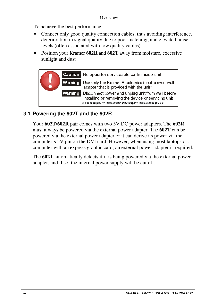To achieve the best performance:

- Connect only good quality connection cables, thus avoiding interference, deterioration in signal quality due to poor matching, and elevated noiselevels (often associated with low quality cables)
- Position your Kramer **602R** and **602T** away from moisture, excessive sunlight and dust



## **3.1 Powering the 602T and the 602R**

Your **602T/602R** pair comes with two 5V DC power adapters. The **602R** must always be powered via the external power adapter. The **602T** can be powered via the external power adapter or it can derive its power via the computer's 5V pin on the DVI card. However, when using most laptops or a computer with an express graphic card, an external power adapter is required.

The **602T** automatically detects if it is being powered via the external power adapter, and if so, the internal power supply will be cut off.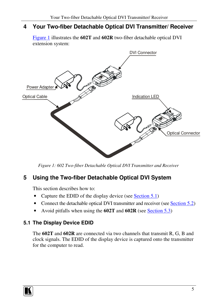## **4 Your Two-fiber Detachable Optical DVI Transmitter/ Receiver**

Figure 1 illustrates the **602T** and **602R** two-fiber detachable optical DVI extension system:



*Figure 1: 602 Two-fiber Detachable Optical DVI Transmitter and Receiver*

# **5 Using the Two-fiber Detachable Optical DVI System**

This section describes how to:

- Capture the EDID of the display device (see Section 5.1)
- Connect the detachable optical DVI transmitter and receiver (see [Section](#page-8-3) 5.2)
- Avoid pitfalls when using the **602T** and **602R** (see [Section](#page-9-2) 5.3)

## **5.1 The Display Device EDID**

The **602T** and **602R** are connected via two channels that transmit R, G, B and clock signals. The EDID of the display device is captured onto the transmitter for the computer to read.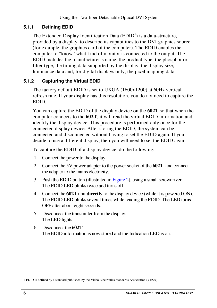#### **5.1.1 Defining EDID**

The Extended Display Identification Data  $(EDID<sup>1</sup>)$  is a data-structure, provided by a display, to describe its capabilities to the DVI graphics source (for example, the graphics card of the computer). The EDID enables the computer to "know" what kind of monitor is connected to the output. The EDID includes the manufacturer's name, the product type, the phosphor or filter type, the timing data supported by the display, the display size, luminance data and, for digital displays only, the pixel mapping data.

#### **5.1.2 Capturing the Virtual EDID**

The factory default EDID is set to UXGA (1600x1200) at 60Hz vertical refresh rate. If your display has this resolution, you do not need to capture the EDID.

You can capture the EDID of the display device on the **602T** so that when the computer connects to the **602T**, it will read the virtual EDID information and identify the display device. This procedure is performed only once for the connected display device. After storing the EDID, the system can be connected and disconnected without having to set the EDID again. If you decide to use a different display, then you will need to set the EDID again.

To capture the EDID of a display device, do the following:

- 1. Connect the power to the display.
- 2. Connect the 5V power adapter to the power socket of the **602T**, and connect the adapter to the mains electricity.
- 3. Push the EDID button (illustrated in [Figure](#page-8-3) 2), using a small screwdriver. The EDID LED blinks twice and turns off.
- 4. Connect the **602T** unit **directly** to the display device (while it is powered ON). The EDID LED blinks several times while reading the EDID. The LED turns OFF after about eight seconds.
- 5. Disconnect the transmitter from the display. The LED lights
- 6. Disconnect the **602T**. The EDID information is now stored and the Indication LED is on.

<sup>1</sup> EDID is defined by a standard published by the Video Electronics Standards Association (VESA)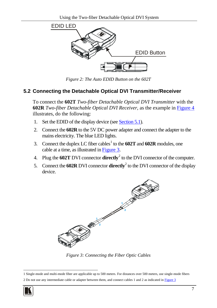<span id="page-8-3"></span>

*Figure 2: The Auto EDID Button on the 602T*

#### <span id="page-8-1"></span><span id="page-8-0"></span>**5.2 Connecting the Detachable Optical DVI Transmitter/Receiver**

To connect the **602T** *Two-fiber Detachable Optical DVI Transmitter* with the **602R** *Two-fiber Detachable Optical DVI Receiver*, as the example in [Figure 4](#page-9-1) illustrates, do the following:

- 1. Set the EDID of the display device (see **Sectio[n 5.1](#page--1-3)**).
- 2. Connect the **602R** to the 5V DC power adapter and connect the adapter to the mains electricity. The blue LED lights.
- 3. Connect the duplex LC fiber cables<sup>[1](#page-8-5)</sup> to the **602T** and **602R** modules, one cable at a time, as illustrated i[n Figure 3.](#page-8-2)
- 4. Plug the **602T** DVI connector **directly**[2](#page-8-6) to the DVI connector of the computer.
- 5. Connect the **602R** DVI connector **directly** [2](#page-8-4) to the DVI connector of the display device.

<span id="page-8-4"></span>

*Figure 3: Connecting the Fiber Optic Cables*

<span id="page-8-6"></span><span id="page-8-5"></span><sup>2</sup> Do not use any intermediate cable or adapter between them, and connect cables 1 and 2 as indicated i[n Figure 3](#page-8-2)



<span id="page-8-2"></span><sup>1</sup> Single-mode and multi-mode fiber are applicable up to 500 meters. For distances over 500 meters, use single-mode fibers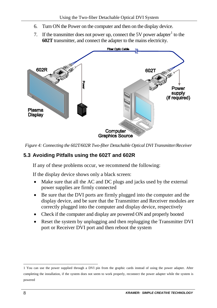- <span id="page-9-2"></span>6. Turn ON the Power on the computer and then on the display device.
- 7. If the transmitter does not power up, connect the 5V power adapter  $\frac{1}{1}$  $\frac{1}{1}$  $\frac{1}{1}$  to the **602T** transmitter, and connect the adapter to the mains electricity.



<span id="page-9-1"></span>*Figure 4: Connecting the 602T/602R Two-fiber Detachable Optical DVI Transmitter/Receiver*

### <span id="page-9-0"></span>**5.3 Avoiding Pitfalls using the 602T and 602R**

If any of these problems occur, we recommend the following:

If the display device shows only a black screen:

- Make sure that all the AC and DC plugs and jacks used by the external power supplies are firmly connected
- Be sure that the DVI ports are firmly plugged into the computer and the display device, and be sure that the Transmitter and Receiver modules are correctly plugged into the computer and display device, respectively
- Check if the computer and display are powered ON and properly booted
- Reset the system by unplugging and then replugging the Transmitter DVI port or Receiver DVI port and then reboot the system

<span id="page-9-3"></span><sup>1</sup> You can use the power supplied through a DVI pin from the graphic cards instead of using the power adapter. After completing the installation, if the system does not seem to work properly, reconnect the power adapter while the system is powered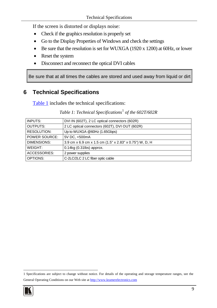If the screen is distorted or displays noise:

- Check if the graphics resolution is properly set
- Go to the Display Properties of Windows and check the settings
- Be sure that the resolution is set for WUXGA (1920 x 1200) at 60Hz, or lower
- Reset the system
- Disconnect and reconnect the optical DVI cables

Be sure that at all times the cables are stored and used away from liquid or dirt

## <span id="page-10-0"></span>**6 Technical Specifications**

<span id="page-10-1"></span>[Table 1](#page-10-1) includes the technical specifications:

| INPUTS:              | DVI IN (602T), 2 LC optical connectors (602R)           |
|----------------------|---------------------------------------------------------|
| OUTPUTS:             | 2 LC optical connectors (602T), DVI OUT (602R)          |
| <b>RESOLUTION:</b>   | Up to WUXGA @60Hz (1.65Gbps)                            |
| <b>POWER SOURCE:</b> | 5V DC. <500mA                                           |
| DIMENSIONS:          | 3.9 cm x 6.9 cm x 1.5 cm (1.5" x 2.83" x 0.75") W, D, H |
| WEIGHT:              | $0.14$ kg $(0.31$ lbs) approx.                          |
| ACCESSORIES:         | 2 power supplies                                        |
| OPTIONS:             | C-2LC/2LC 2 LC fiber optic cable                        |

*Table 1: Technical Specifications*[1](#page-10-2) *of the 602T/602R*

<span id="page-10-2"></span><sup>1</sup> Specifications are subject to change without notice. For details of the operating and storage temperature ranges, see the General Operating Conditions on our Web site at [http://www.kramerelectronics.com](http://www.kramerelectronics.com/)

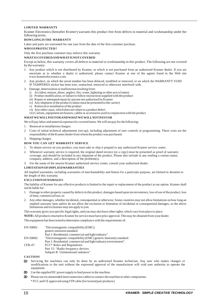#### **LIMITED WARRANTY**

Kramer Electronics (hereafter *Kramer*) warrants this product free from defects in material and workmanship under the following terms.

#### **HOW LONG IS THE WARRANTY**

Labor and parts are warranted for one year from the date of the first customer purchase.

#### **WHO IS PROTECTED?**

Only the first purchase customer may enforce this warranty.

#### **WHAT IS COVERED AND WHAT IS NOT COVERED**

Except as below, this warranty covers all defects in material or workmanship in this product. The following are not covered by the warranty:

- 1. Any product which is not distributed by Kramer, or which is not purchased from an authorized Kramer dealer. If you are uncertain as to whether a dealer is authorized, please contact Kramer at one of the agents listed in the Web site www.kramerelectronics.com.
- 2. Any product, on which the serial number has been defaced, modified or removed, or on which the WARRANTY VOID IF TAMPERED sticker has been torn, reattached, removed or otherwise interfered with.
- 3. Damage, deterioration or malfunction resulting from:
	- i) Accident, misuse, abuse, neglect, fire, water, lightning or other acts of nature
	- ii) Product modification, or failure to follow instructions supplied with the product
	- iii) Repair or attempted repair by anyone not authorized by Kramer
	- iv) Any shipment of the product (claims must be presented to the carrier)
	- v) Removal or installation of the product
	- vi) Any other cause, which does not relate to a product defect
	- vii) Cartons, equipment enclosures, cables or accessories used in conjunction with the product

#### **WHAT WE WILL PAY FOR AND WHAT WE WILL NOT PAY FOR**

We will pay labor and material expenses for covered items. We will not pay for the following:

- 1. Removal or installations charges.
- 2. Costs of initial technical adjustments (set-up), including adjustment of user controls or programming. These costs are the responsibility of the Kramer dealer from whom the product was purchased.
- 3. Shipping charges.

#### **HOW YOU CAN GET WARRANTY SERVICE**

- 1. To obtain service on you product, you must take or ship it prepaid to any authorized Kramer service center.
- 2. Whenever warranty service is required, the original dated invoice (or a copy) must be presented as proof of warranty coverage, and should be included in any shipment of the product. Please also include in any mailing a contact name, company, address, and a description of the problem(s).
- 3. For the name of the nearest Kramer authorized service center, consult your authorized dealer.

#### **LIMITATION OF IMPLIED WARRANTIES**

All implied warranties, including warranties of merchantability and fitness for a particular purpose, are limited in duration to the length of this warranty.

#### **EXCLUSION OF DAMAGES**

The liability of Kramer for any effective products is limited to the repair or replacement of the product at our option. Kramer shall not be liable for:

- 1. Damage to other property caused by defects in this product, damages based upon inconvenience, loss of use of the product, loss of time, commercial loss; or:
- 2. Any other damages, whether incidental, consequential or otherwise. Some countries may not allow limitations on how long an implied warranty lasts and/or do not allow the exclusion or limitation of incidental or consequential damages, so the above limitations and exclusions may not apply to you.

This warranty gives you specific legal rights, and you may also have other rights, which vary from place to place.

All products returned to Kramer for service must have prior approval. This may be obtained from your dealer. **NOTE:**

This equipment has been tested to determine compliance with the requirements of:

| EN-50081: | "Electromagnetic compatibility (EMC);                            |
|-----------|------------------------------------------------------------------|
|           | generic emission standard.                                       |
|           | Part 1: Residential, commercial and light industry"              |
| EN-50082: | "Electromagnetic compatibility (EMC) generic immunity standard.  |
|           | Part 1: Residential, commercial and light industry environment". |
| CFR-47:   | FCC* Rules and Regulations:                                      |
|           | Part 15: "Radio frequency devices                                |
|           | Subpart B Unintentional radiators"                               |
|           |                                                                  |

**CAUTION!**

- Servicing the machines can only be done by an authorized Kramer technician. Any user who makes changes or modifications to the unit without the expressed approval of the manufacturer will void user authority to operate the equipment.
- Use the supplied DC power supply to feed power to the machine.
- Please use recommended interconnection cables to connect the machine to other components.

\* FCC and CE approved using STP cable (for twisted pair products)